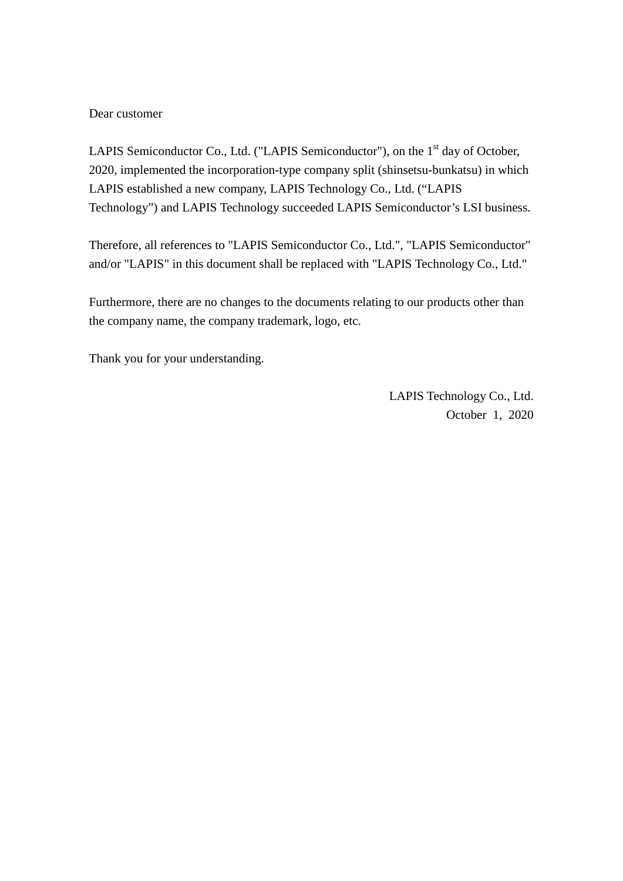# Dear customer

LAPIS Semiconductor Co., Ltd. ("LAPIS Semiconductor"), on the  $1<sup>st</sup>$  day of October, 2020, implemented the incorporation-type company split (shinsetsu-bunkatsu) in which LAPIS established a new company, LAPIS Technology Co., Ltd. ("LAPIS Technology") and LAPIS Technology succeeded LAPIS Semiconductor's LSI business.

Therefore, all references to "LAPIS Semiconductor Co., Ltd.", "LAPIS Semiconductor" and/or "LAPIS" in this document shall be replaced with "LAPIS Technology Co., Ltd."

Furthermore, there are no changes to the documents relating to our products other than the company name, the company trademark, logo, etc.

Thank you for your understanding.

LAPIS Technology Co., Ltd. October 1, 2020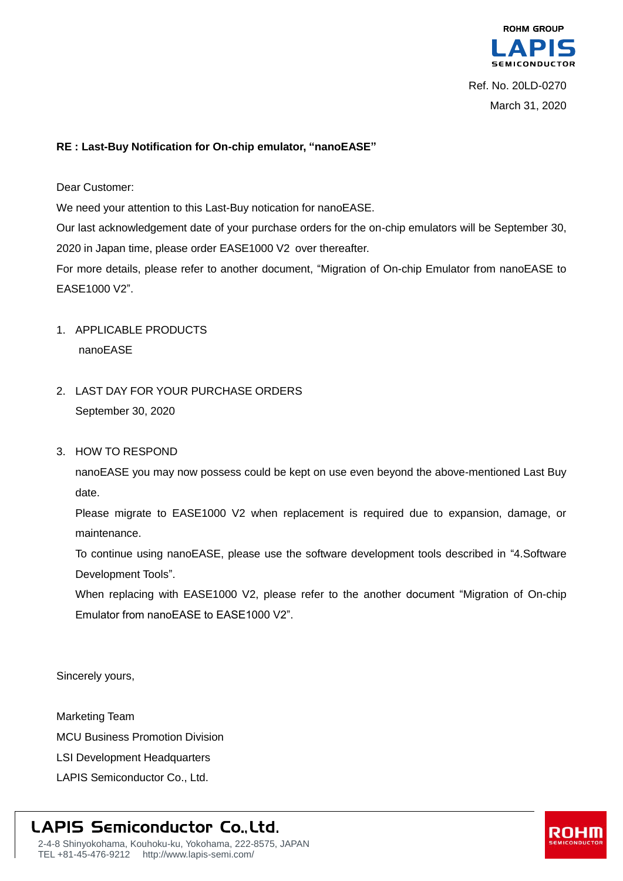

#### **RE : Last-Buy Notification for On-chip emulator, "nanoEASE"**

Dear Customer:

We need your attention to this Last-Buy notication for nanoEASE.

Our last acknowledgement date of your purchase orders for the on-chip emulators will be September 30, 2020 in Japan time, please order EASE1000 V2 over thereafter.

For more details, please refer to another document, "Migration of On-chip Emulator from nanoEASE to EASE1000 V2".

- 1. APPLICABLE PRODUCTS nanoEASE
- 2. LAST DAY FOR YOUR PURCHASE ORDERS September 30, 2020
- 3. HOW TO RESPOND

nanoEASE you may now possess could be kept on use even beyond the above-mentioned Last Buy date.

Please migrate to EASE1000 V2 when replacement is required due to expansion, damage, or maintenance.

To continue using nanoEASE, please use the software development tools described in "4.Software Development Tools".

When replacing with EASE1000 V2, please refer to the another document "Migration of On-chip Emulator from nanoEASE to EASE1000 V2".

Sincerely yours,

Marketing Team MCU Business Promotion Division LSI Development Headquarters LAPIS Semiconductor Co., Ltd.

# **LAPIS Semiconductor Co., Ltd.**

2-4-8 Shinyokohama, Kouhoku-ku, Yokohama, 222-8575, JAPAN TEL +81-45-476-9212 http://www.lapis-semi.com/

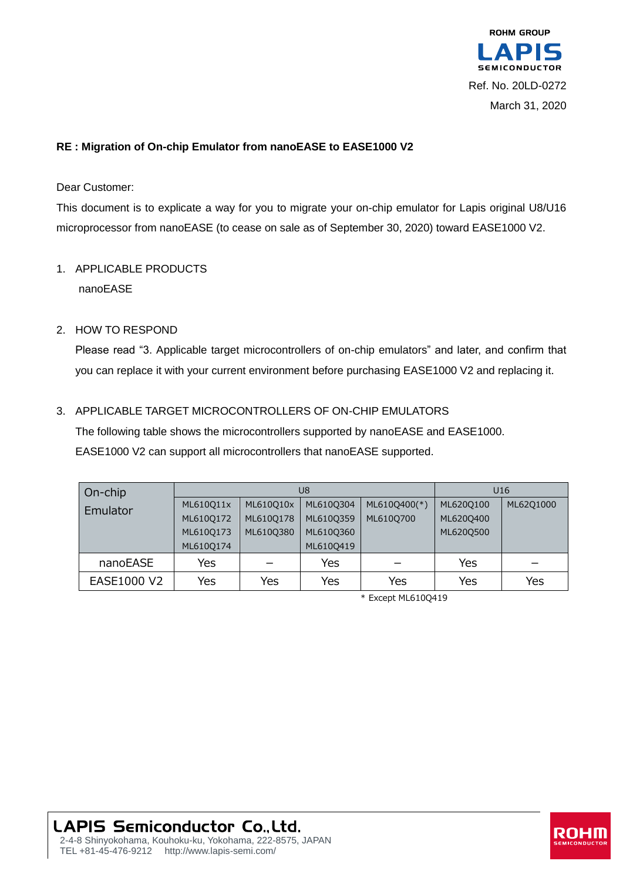

## **RE : Migration of On-chip Emulator from nanoEASE to EASE1000 V2**

Dear Customer:

This document is to explicate a way for you to migrate your on-chip emulator for Lapis original U8/U16 microprocessor from nanoEASE (to cease on sale as of September 30, 2020) toward EASE1000 V2.

# 1. APPLICABLE PRODUCTS nanoEASE

#### 2. HOW TO RESPOND

Please read "3. Applicable target microcontrollers of on-chip emulators" and later, and confirm that you can replace it with your current environment before purchasing EASE1000 V2 and replacing it.

#### 3. APPLICABLE TARGET MICROCONTROLLERS OF ON-CHIP EMULATORS

The following table shows the microcontrollers supported by nanoEASE and EASE1000. EASE1000 V2 can support all microcontrollers that nanoEASE supported.

| On-chip     | U8        |           |           |              | U <sub>16</sub> |           |
|-------------|-----------|-----------|-----------|--------------|-----------------|-----------|
| Emulator    | ML610Q11x | ML610Q10x | ML610Q304 | ML610Q400(*) | ML620Q100       | ML62Q1000 |
|             | ML610Q172 | ML610Q178 | ML610Q359 | ML610Q700    | ML620Q400       |           |
|             | ML610Q173 | ML610Q380 | ML610Q360 |              | ML620Q500       |           |
|             | ML610Q174 |           | ML610Q419 |              |                 |           |
| nanoEASE    | Yes       |           | Yes       |              | Yes             |           |
| EASE1000 V2 | Yes       | Yes       | Yes       | Yes          | Yes             | Yes       |

\* Except ML610Q419

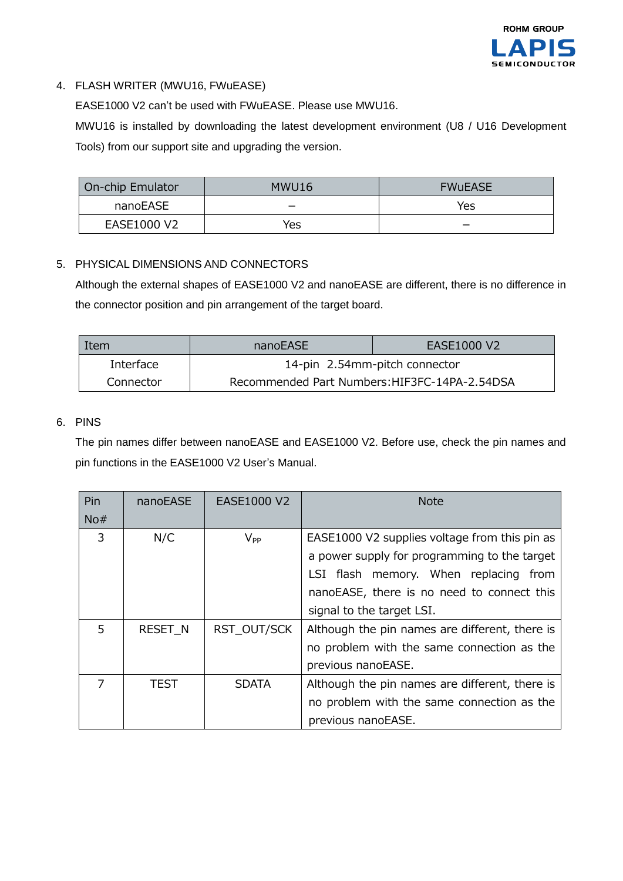

# 4. FLASH WRITER (MWU16, FWuEASE)

EASE1000 V2 can't be used with FWuEASE. Please use MWU16.

MWU16 is installed by downloading the latest development environment (U8 / U16 Development Tools) from our support site and upgrading the version.

| On-chip Emulator | MWU16 | <b>FWUEASE</b> |  |
|------------------|-------|----------------|--|
| nanoEASE         |       | Yes            |  |
| EASE1000 V2      | Yes   |                |  |

#### 5. PHYSICAL DIMENSIONS AND CONNECTORS

Although the external shapes of EASE1000 V2 and nanoEASE are different, there is no difference in the connector position and pin arrangement of the target board.

| Item      | nanoEASE                                      | EASE1000 V2 |  |
|-----------|-----------------------------------------------|-------------|--|
| Interface | 14-pin 2.54mm-pitch connector                 |             |  |
| Connector | Recommended Part Numbers: HIF3FC-14PA-2.54DSA |             |  |

### 6. PINS

The pin names differ between nanoEASE and EASE1000 V2. Before use, check the pin names and pin functions in the EASE1000 V2 User's Manual.

| Pin | nanoEASE       | EASE1000 V2  | <b>Note</b>                                                                                                                                                                                                       |  |
|-----|----------------|--------------|-------------------------------------------------------------------------------------------------------------------------------------------------------------------------------------------------------------------|--|
| No# |                |              |                                                                                                                                                                                                                   |  |
| 3   | N/C            | $V_{PP}$     | EASE1000 V2 supplies voltage from this pin as<br>a power supply for programming to the target<br>LSI flash memory. When replacing from<br>nanoEASE, there is no need to connect this<br>signal to the target LSI. |  |
| 5   | <b>RESET N</b> | RST OUT/SCK  | Although the pin names are different, there is<br>no problem with the same connection as the<br>previous nanoEASE.                                                                                                |  |
|     | TEST           | <b>SDATA</b> | Although the pin names are different, there is<br>no problem with the same connection as the<br>previous nanoEASE.                                                                                                |  |